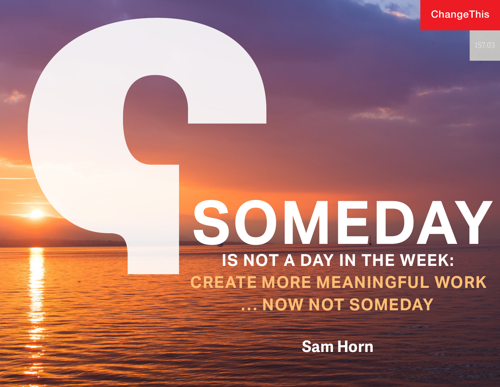**ChangeThis** 

# **SOMEDAY IS NOT A DAY IN THE WEEK: CREATE MORE MEANINGFUL WORK … NOW NOT SOMEDAY**

**Sam Horn**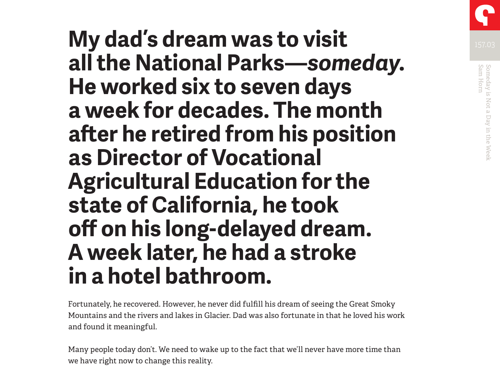

Fortunately, he recovered. However, he never did fulfill his dream of seeing the Great Smoky Mountains and the rivers and lakes in Glacier. Dad was also fortunate in that he loved his work and found it meaningful.

Many people today don't. We need to wake up to the fact that we'll never have more time than we have right now to change this reality.

Someday is Not a Day in the Week<br>Sam Horn Sam Horn Someday is Not a Day in the Week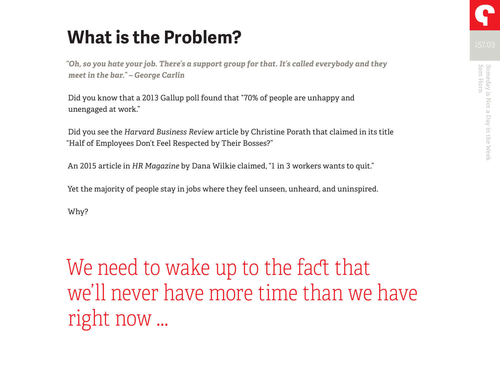### **What is the Problem?**

*"Oh, so you hate your job. There's a support group for that. It's called everybody and they meet in the bar." – George Carlin* 

Did you know that a 2013 Gallup poll found that "70% of people are unhappy and unengaged at work."

Did you see the *Harvard Business Review* article by Christine Porath that claimed in its title "Half of Employees Don't Feel Respected by Their Bosses?"

An 2015 article in *HR Magazine* by Dana Wilkie claimed, "1 in 3 workers wants to quit."

Yet the majority of people stay in jobs where they feel unseen, unheard, and uninspired.

Why?

We need to wake up to the fact that we'll never have more time than we have right now …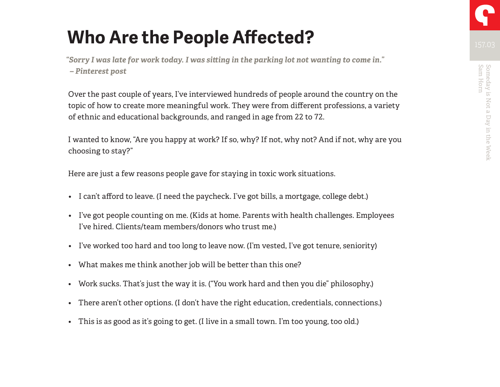### **Who Are the People Affected?**

*"Sorry I was late for work today. I was sitting in the parking lot not wanting to come in." – Pinterest post*

Over the past couple of years, I've interviewed hundreds of people around the country on the topic of how to create more meaningful work. They were from different professions, a variety of ethnic and educational backgrounds, and ranged in age from 22 to 72.

I wanted to know, "Are you happy at work? If so, why? If not, why not? And if not, why are you choosing to stay?"

Here are just a few reasons people gave for staying in toxic work situations.

- I can't afford to leave. (I need the paycheck. I've got bills, a mortgage, college debt.)
- I've got people counting on me. (Kids at home. Parents with health challenges. Employees I've hired. Clients/team members/donors who trust me.)
- I've worked too hard and too long to leave now. (I'm vested, I've got tenure, seniority)
- What makes me think another job will be better than this one?
- Work sucks. That's just the way it is. ("You work hard and then you die" philosophy.)
- There aren't other options. (I don't have the right education, credentials, connections.)
- This is as good as it's going to get. (I live in a small town. I'm too young, too old.)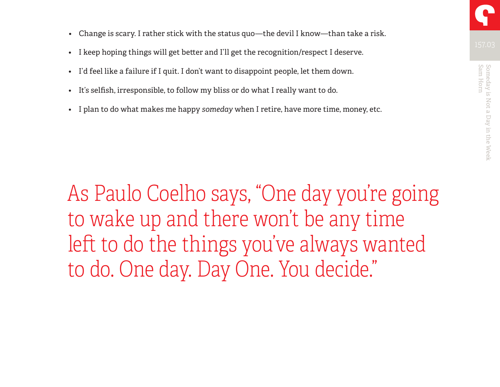- Change is scary. I rather stick with the status quo—the devil I know—than take a risk.
- I keep hoping things will get better and I'll get the recognition/respect I deserve.
- I'd feel like a failure if I quit. I don't want to disappoint people, let them down.
- It's selfish, irresponsible, to follow my bliss or do what I really want to do.
- I plan to do what makes me happy *someday* when I retire, have more time, money, etc.

As Paulo Coelho says, "One day you're going to wake up and there won't be any time left to do the things you've always wanted to do. One day. Day One. You decide."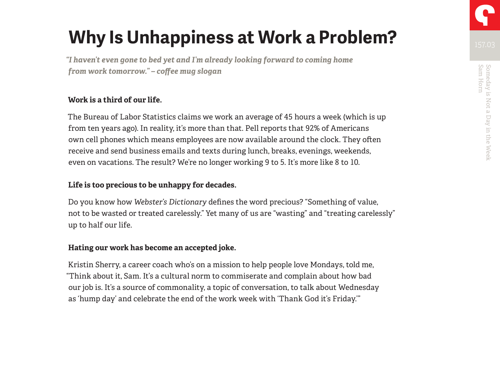## **Why Is Unhappiness at Work a Problem?**

*"I haven't even gone to bed yet and I'm already looking forward to coming home from work tomorrow." – coffee mug slogan*

#### **Work is a third of our life.**

The Bureau of Labor Statistics claims we work an average of 45 hours a week (which is up from ten years ago). In reality, it's more than that. Pell reports that 92% of Americans own cell phones which means employees are now available around the clock. They often receive and send business emails and texts during lunch, breaks, evenings, weekends, even on vacations. The result? We're no longer working 9 to 5. It's more like 8 to 10.

#### **Life is too precious to be unhappy for decades.**

Do you know how *Webster's Dictionary* defines the word precious? "Something of value, not to be wasted or treated carelessly." Yet many of us are "wasting" and "treating carelessly" up to half our life.

#### **Hating our work has become an accepted joke.**

Kristin Sherry, a career coach who's on a mission to help people love Mondays, told me, "Think about it, Sam. It's a cultural norm to commiserate and complain about how bad our job is. It's a source of commonality, a topic of conversation, to talk about Wednesday as 'hump day' and celebrate the end of the work week with 'Thank God it's Friday.'"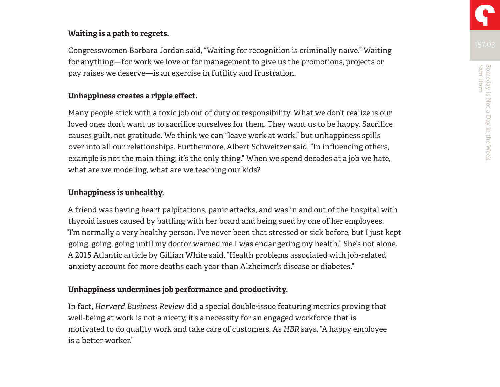#### **Waiting is a path to regrets.**

Congresswomen Barbara Jordan said, "Waiting for recognition is criminally naïve." Waiting for anything—for work we love or for management to give us the promotions, projects or pay raises we deserve—is an exercise in futility and frustration.

#### **Unhappiness creates a ripple effect.**

Many people stick with a toxic job out of duty or responsibility. What we don't realize is our loved ones don't want us to sacrifice ourselves for them. They want us to be happy. Sacrifice causes guilt, not gratitude. We think we can "leave work at work," but unhappiness spills over into all our relationships. Furthermore, Albert Schweitzer said, "In influencing others, example is not the main thing; it's the only thing." When we spend decades at a job we hate, what are we modeling, what are we teaching our kids?

#### **Unhappiness is unhealthy.**

A friend was having heart palpitations, panic attacks, and was in and out of the hospital with thyroid issues caused by battling with her board and being sued by one of her employees. "I'm normally a very healthy person. I've never been that stressed or sick before, but I just kept going, going, going until my doctor warned me I was endangering my health." She's not alone. A 2015 Atlantic article by Gillian White said, "Health problems associated with job-related anxiety account for more deaths each year than Alzheimer's disease or diabetes."

#### **Unhappiness undermines job performance and productivity.**

In fact, *Harvard Business Review* did a special double-issue featuring metrics proving that well-being at work is not a nicety, it's a necessity for an engaged workforce that is motivated to do quality work and take care of customers. As *HBR* says, "A happy employee is a better worker."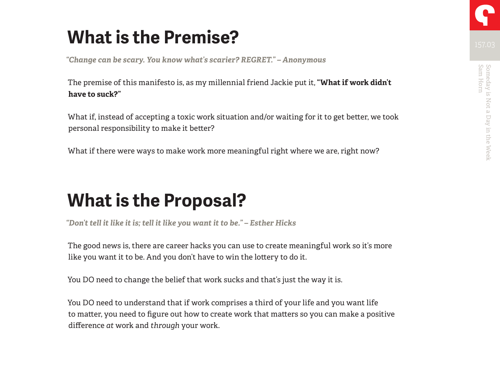### **What is the Premise?**

*"Change can be scary. You know what's scarier? REGRET." – Anonymous*

The premise of this manifesto is, as my millennial friend Jackie put it, **"What if work didn't have to suck?"**

What if, instead of accepting a toxic work situation and/or waiting for it to get better, we took personal responsibility to make it better?

What if there were ways to make work more meaningful right where we are, right now?

### **What is the Proposal?**

*"Don't tell it like it is; tell it like you want it to be." – Esther Hicks*

The good news is, there are career hacks you can use to create meaningful work so it's more like you want it to be. And you don't have to win the lottery to do it.

You DO need to change the belief that work sucks and that's just the way it is.

You DO need to understand that if work comprises a third of your life and you want life to matter, you need to figure out how to create work that matters so you can make a positive difference *at* work and *through* your work.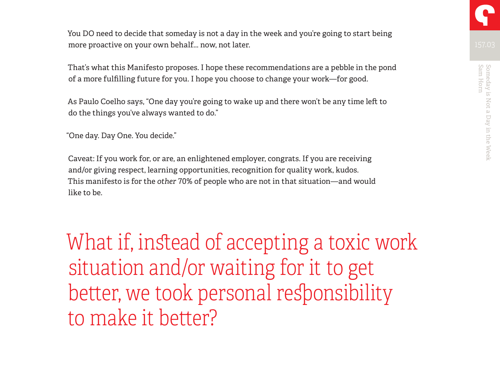You DO need to decide that someday is not a day in the week and you're going to start being more proactive on your own behalf... now, not later.

That's what this Manifesto proposes. I hope these recommendations are a pebble in the pond of a more fulfilling future for you. I hope you choose to change your work—for good.

As Paulo Coelho says, "One day you're going to wake up and there won't be any time left to do the things you've always wanted to do."

"One day. Day One. You decide."

Caveat: If you work for, or are, an enlightened employer, congrats. If you are receiving and/or giving respect, learning opportunities, recognition for quality work, kudos. This manifesto is for the *other* 70% of people who are not in that situation—and would like to be.

What if, instead of accepting a toxic work situation and/or waiting for it to get better, we took personal responsibility to make it better?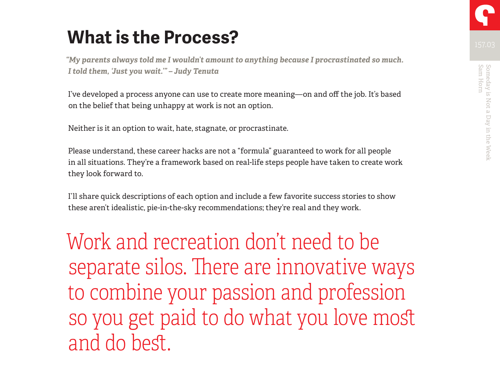### **What is the Process?**

*"My parents always told me I wouldn't amount to anything because I procrastinated so much. I told them, 'Just you wait.'" – Judy Tenuta*

I've developed a process anyone can use to create more meaning—on and off the job. It's based on the belief that being unhappy at work is not an option.

Neither is it an option to wait, hate, stagnate, or procrastinate.

Please understand, these career hacks are not a "formula" guaranteed to work for all people in all situations. They're a framework based on real-life steps people have taken to create work they look forward to.

I'll share quick descriptions of each option and include a few favorite success stories to show these aren't idealistic, pie-in-the-sky recommendations; they're real and they work.

Work and recreation don't need to be separate silos. There are innovative ways to combine your passion and profession so you get paid to do what you love most and do best.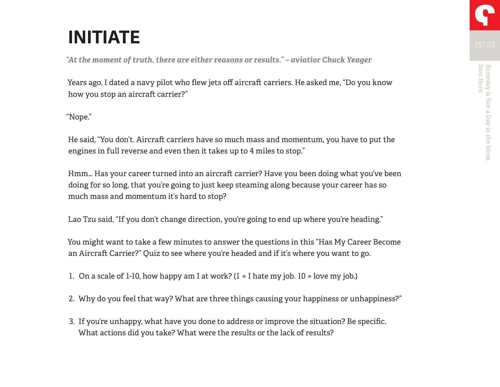### **INITIATE**

*"At the moment of truth, there are either reasons or results." – aviatior Chuck Yeager*

Years ago, I dated a navy pilot who flew jets off aircraft carriers. He asked me, "Do you know how you stop an aircraft carrier?"

"Nope."

He said, "You don't. Aircraft carriers have so much mass and momentum, you have to put the engines in full reverse and even then it takes up to 4 miles to stop."

Hmm… Has your career turned into an aircraft carrier? Have you been doing what you've been doing for so long, that you're going to just keep steaming along because your career has so much mass and momentum it's hard to stop?

Lao Tzu said, "If you don't change direction, you're going to end up where you're heading."

You might want to take a few minutes to answer the questions in this "Has My Career Become an Aircraft Carrier?" Quiz to see where you're headed and if it's where you want to go.

1. On a scale of 1-10, how happy am I at work?  $(1 – I)$  hate my job. 10 = love my job.)

- 2. Why do you feel that way? What are three things causing your happiness or unhappiness?"
- 3. If you're unhappy, what have you done to address or improve the situation? Be specific. What actions did you take? What were the results or the lack of results?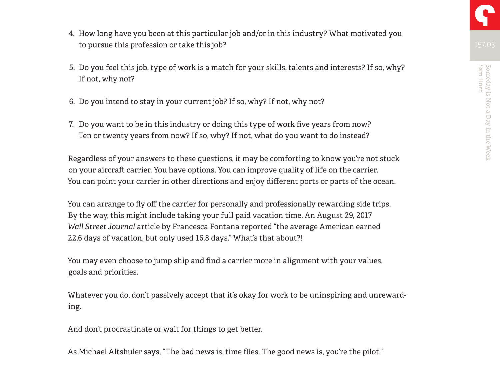Someday is Not a Day in the Week<br>Sam Horn Sam Horn Someday is Not a Day in the Week

- 4. How long have you been at this particular job and/or in this industry? What motivated you to pursue this profession or take this job?
- 5. Do you feel this job, type of work is a match for your skills, talents and interests? If so, why? If not, why not?
- 6. Do you intend to stay in your current job? If so, why? If not, why not?
- 7. Do you want to be in this industry or doing this type of work five years from now? Ten or twenty years from now? If so, why? If not, what do you want to do instead?

Regardless of your answers to these questions, it may be comforting to know you're not stuck on your aircraft carrier. You have options. You can improve quality of life on the carrier. You can point your carrier in other directions and enjoy different ports or parts of the ocean.

You can arrange to fly off the carrier for personally and professionally rewarding side trips. By the way, this might include taking your full paid vacation time. An August 29, 2017 *Wall Street Journal* article by Francesca Fontana reported "the average American earned 22.6 days of vacation, but only used 16.8 days." What's that about?!

You may even choose to jump ship and find a carrier more in alignment with your values, goals and priorities.

Whatever you do, don't passively accept that it's okay for work to be uninspiring and unrewarding.

And don't procrastinate or wait for things to get better.

As Michael Altshuler says, "The bad news is, time flies. The good news is, you're the pilot."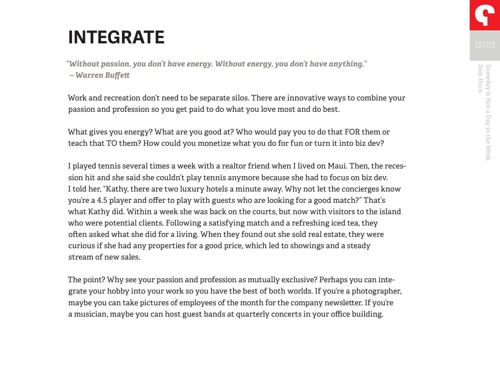#### **INTEGRATE**

*"Without passion, you don't have energy. Without energy, you don't have anything." – Warren Buffett*

Work and recreation don't need to be separate silos. There are innovative ways to combine your passion and profession so you get paid to do what you love most and do best.

What gives you energy? What are you good at? Who would pay you to do that FOR them or teach that TO them? How could you monetize what you do for fun or turn it into biz dev?

I played tennis several times a week with a realtor friend when I lived on Maui. Then, the recession hit and she said she couldn't play tennis anymore because she had to focus on biz dev. I told her, "Kathy, there are two luxury hotels a minute away. Why not let the concierges know you're a 4.5 player and offer to play with guests who are looking for a good match?" That's what Kathy did. Within a week she was back on the courts, but now with visitors to the island who were potential clients. Following a satisfying match and a refreshing iced tea, they often asked what she did for a living. When they found out she sold real estate, they were curious if she had any properties for a good price, which led to showings and a steady stream of new sales.

The point? Why see your passion and profession as mutually exclusive? Perhaps you can integrate your hobby into your work so you have the best of both worlds. If you're a photographer, maybe you can take pictures of employees of the month for the company newsletter. If you're a musician, maybe you can host guest bands at quarterly concerts in your office building.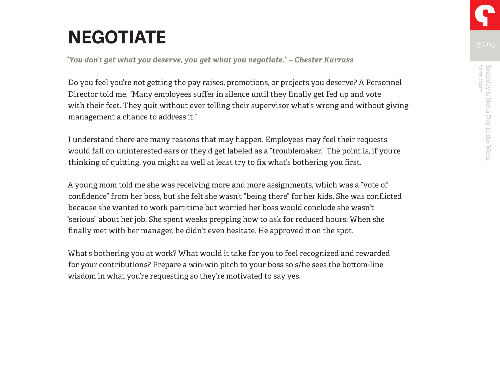### **NEGOTIATE**

*"You don't get what you deserve, you get what you negotiate." – Chester Karrass*

Do you feel you're not getting the pay raises, promotions, or projects you deserve? A Personnel Director told me, "Many employees suffer in silence until they finally get fed up and vote with their feet. They quit without ever telling their supervisor what's wrong and without giving management a chance to address it."

I understand there are many reasons that may happen. Employees may feel their requests would fall on uninterested ears or they'd get labeled as a "troublemaker." The point is, if you're thinking of quitting, you might as well at least try to fix what's bothering you first.

A young mom told me she was receiving more and more assignments, which was a "vote of confidence" from her boss, but she felt she wasn't "being there" for her kids. She was conflicted because she wanted to work part-time but worried her boss would conclude she wasn't "serious" about her job. She spent weeks prepping how to ask for reduced hours. When she finally met with her manager, he didn't even hesitate. He approved it on the spot.

What's bothering you at work? What would it take for you to feel recognized and rewarded for your contributions? Prepare a win-win pitch to your boss so s/he sees the bottom-line wisdom in what you're requesting so they're motivated to say yes.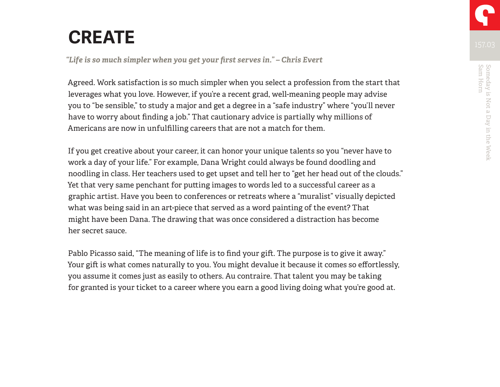#### **CREATE**

*"Life is so much simpler when you get your first serves in." – Chris Evert*

Agreed. Work satisfaction is so much simpler when you select a profession from the start that leverages what you love. However, if you're a recent grad, well-meaning people may advise you to "be sensible," to study a major and get a degree in a "safe industry" where "you'll never have to worry about finding a job." That cautionary advice is partially why millions of Americans are now in unfulfilling careers that are not a match for them.

If you get creative about your career, it can honor your unique talents so you "never have to work a day of your life." For example, Dana Wright could always be found doodling and noodling in class. Her teachers used to get upset and tell her to "get her head out of the clouds." Yet that very same penchant for putting images to words led to a successful career as a graphic artist. Have you been to conferences or retreats where a "muralist" visually depicted what was being said in an art-piece that served as a word painting of the event? That might have been Dana. The drawing that was once considered a distraction has become her secret sauce.

Pablo Picasso said, "The meaning of life is to find your gift. The purpose is to give it away." Your gift is what comes naturally to you. You might devalue it because it comes so effortlessly, you assume it comes just as easily to others. Au contraire. That talent you may be taking for granted is your ticket to a career where you earn a good living doing what you're good at.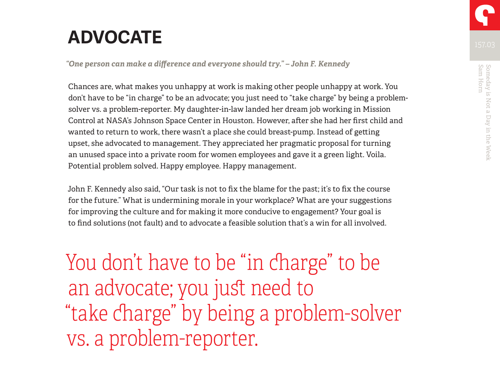### **ADVOCATE**

*"One person can make a difference and everyone should try." – John F. Kennedy*

Chances are, what makes you unhappy at work is making other people unhappy at work. You don't have to be "in charge" to be an advocate; you just need to "take charge" by being a problemsolver vs. a problem-reporter. My daughter-in-law landed her dream job working in Mission Control at NASA's Johnson Space Center in Houston. However, after she had her first child and wanted to return to work, there wasn't a place she could breast-pump. Instead of getting upset, she advocated to management. They appreciated her pragmatic proposal for turning an unused space into a private room for women employees and gave it a green light. Voila. Potential problem solved. Happy employee. Happy management.

John F. Kennedy also said, "Our task is not to fix the blame for the past; it's to fix the course for the future." What is undermining morale in your workplace? What are your suggestions for improving the culture and for making it more conducive to engagement? Your goal is to find solutions (not fault) and to advocate a feasible solution that's a win for all involved.

You don't have to be "in charge" to be an advocate; you just need to "take charge" by being a problem-solver vs. a problem-reporter.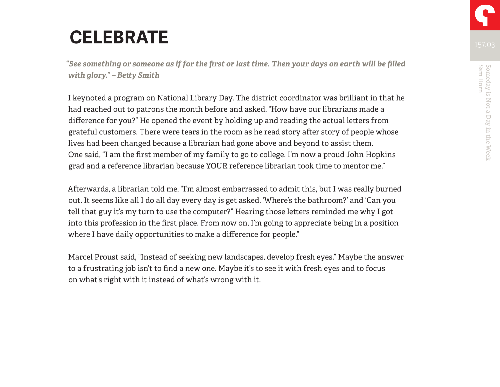### **CELEBRATE**

*"See something or someone as if for the first or last time. Then your days on earth will be filled with glory." – Betty Smith* 

I keynoted a program on National Library Day. The district coordinator was brilliant in that he had reached out to patrons the month before and asked, "How have our librarians made a difference for you?" He opened the event by holding up and reading the actual letters from grateful customers. There were tears in the room as he read story after story of people whose lives had been changed because a librarian had gone above and beyond to assist them. One said, "I am the first member of my family to go to college. I'm now a proud John Hopkins grad and a reference librarian because YOUR reference librarian took time to mentor me."

Afterwards, a librarian told me, "I'm almost embarrassed to admit this, but I was really burned out. It seems like all I do all day every day is get asked, 'Where's the bathroom?' and 'Can you tell that guy it's my turn to use the computer?" Hearing those letters reminded me why I got into this profession in the first place. From now on, I'm going to appreciate being in a position where I have daily opportunities to make a difference for people."

Marcel Proust said, "Instead of seeking new landscapes, develop fresh eyes." Maybe the answer to a frustrating job isn't to find a new one. Maybe it's to see it with fresh eyes and to focus on what's right with it instead of what's wrong with it.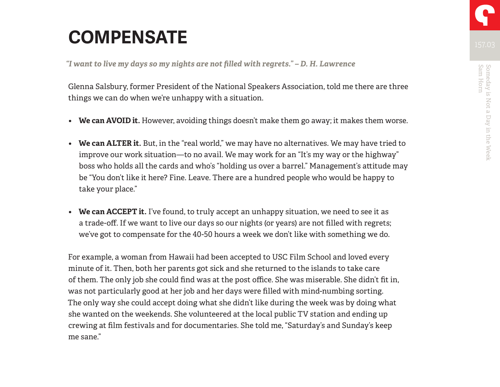### **COMPENSATE**

*"I want to live my days so my nights are not filled with regrets." – D. H. Lawrence*

Glenna Salsbury, former President of the National Speakers Association, told me there are three things we can do when we're unhappy with a situation.

- **• We can AVOID it.** However, avoiding things doesn't make them go away; it makes them worse.
- **• We can ALTER it.** But, in the "real world," we may have no alternatives. We may have tried to improve our work situation—to no avail. We may work for an "It's my way or the highway" boss who holds all the cards and who's "holding us over a barrel." Management's attitude may be "You don't like it here? Fine. Leave. There are a hundred people who would be happy to take your place."
- **• We can ACCEPT it.** I've found, to truly accept an unhappy situation, we need to see it as a trade-off. If we want to live our days so our nights (or years) are not filled with regrets; we've got to compensate for the 40-50 hours a week we don't like with something we do.

For example, a woman from Hawaii had been accepted to USC Film School and loved every minute of it. Then, both her parents got sick and she returned to the islands to take care of them. The only job she could find was at the post office. She was miserable. She didn't fit in, was not particularly good at her job and her days were filled with mind-numbing sorting. The only way she could accept doing what she didn't like during the week was by doing what she wanted on the weekends. She volunteered at the local public TV station and ending up crewing at film festivals and for documentaries. She told me, "Saturday's and Sunday's keep me sane."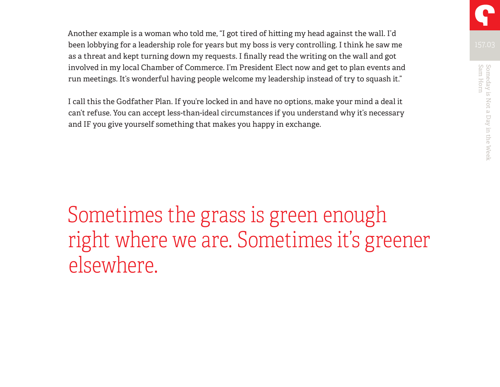Another example is a woman who told me, "I got tired of hitting my head against the wall. I'd been lobbying for a leadership role for years but my boss is very controlling. I think he saw me as a threat and kept turning down my requests. I finally read the writing on the wall and got involved in my local Chamber of Commerce. I'm President Elect now and get to plan events and run meetings. It's wonderful having people welcome my leadership instead of try to squash it."

I call this the Godfather Plan. If you're locked in and have no options, make your mind a deal it can't refuse. You can accept less-than-ideal circumstances if you understand why it's necessary and IF you give yourself something that makes you happy in exchange.

Sometimes the grass is green enough right where we are. Sometimes it's greener elsewhere.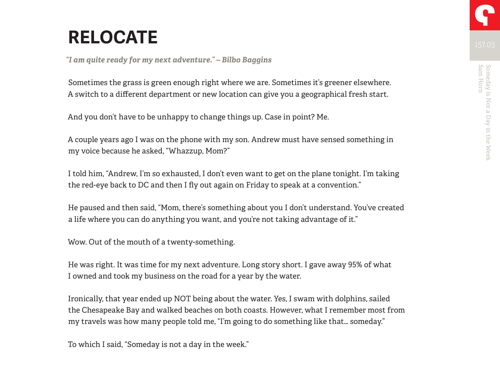### **RELOCATE**

*"I am quite ready for my next adventure." – Bilbo Baggins*

Sometimes the grass is green enough right where we are. Sometimes it's greener elsewhere. A switch to a different department or new location can give you a geographical fresh start.

And you don't have to be unhappy to change things up. Case in point? Me.

A couple years ago I was on the phone with my son. Andrew must have sensed something in my voice because he asked, "Whazzup, Mom?"

I told him, "Andrew, I'm so exhausted, I don't even want to get on the plane tonight. I'm taking the red-eye back to DC and then I fly out again on Friday to speak at a convention."

He paused and then said, "Mom, there's something about you I don't understand. You've created a life where you can do anything you want, and you're not taking advantage of it."

Wow. Out of the mouth of a twenty-something.

He was right. It was time for my next adventure. Long story short. I gave away 95% of what I owned and took my business on the road for a year by the water.

Ironically, that year ended up NOT being about the water. Yes, I swam with dolphins, sailed the Chesapeake Bay and walked beaches on both coasts. However, what I remember most from my travels was how many people told me, "I'm going to do something like that… someday."

To which I said, "Someday is not a day in the week."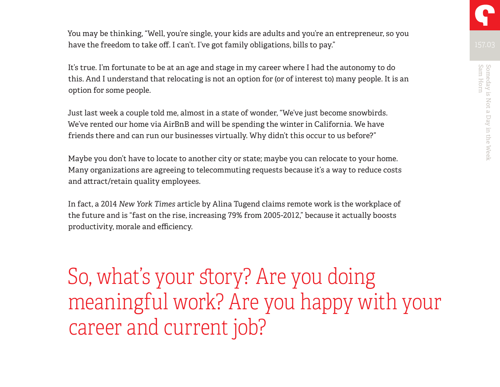You may be thinking, "Well, you're single, your kids are adults and you're an entrepreneur, so you have the freedom to take off. I can't. I've got family obligations, bills to pay."

It's true. I'm fortunate to be at an age and stage in my career where I had the autonomy to do this. And I understand that relocating is not an option for (or of interest to) many people. It is an option for some people.

Just last week a couple told me, almost in a state of wonder, "We've just become snowbirds. We've rented our home via AirBnB and will be spending the winter in California. We have friends there and can run our businesses virtually. Why didn't this occur to us before?"

Maybe you don't have to locate to another city or state; maybe you can relocate to your home. Many organizations are agreeing to telecommuting requests because it's a way to reduce costs and attract/retain quality employees.

In fact, a 2014 *New York Times* article by Alina Tugend claims remote work is the workplace of the future and is "fast on the rise, increasing 79% from 2005-2012," because it actually boosts productivity, morale and efficiency.

So, what's your story? Are you doing meaningful work? Are you happy with your career and current job?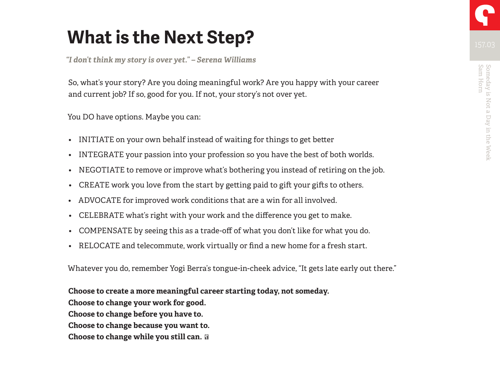### **What is the Next Step?**

*"I don't think my story is over yet." – Serena Williams*

So, what's your story? Are you doing meaningful work? Are you happy with your career and current job? If so, good for you. If not, your story's not over yet.

You DO have options. Maybe you can:

- INITIATE on your own behalf instead of waiting for things to get better
- INTEGRATE your passion into your profession so you have the best of both worlds.
- NEGOTIATE to remove or improve what's bothering you instead of retiring on the job.
- CREATE work you love from the start by getting paid to gift your gifts to others.
- ADVOCATE for improved work conditions that are a win for all involved.
- CELEBRATE what's right with your work and the difference you get to make.
- COMPENSATE by seeing this as a trade-off of what you don't like for what you do.
- RELOCATE and telecommute, work virtually or find a new home for a fresh start.

Whatever you do, remember Yogi Berra's tongue-in-cheek advice, "It gets late early out there."

**Choose to create a more meaningful career starting today, not someday. Choose to change your work for good. Choose to change before you have to. Choose to change because you want to. Choose to change while you still can.**